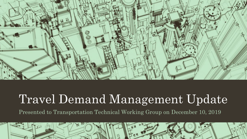

# Travel Demand Management Update

Presented to Transportation Technical Working Group on December 10, 2019

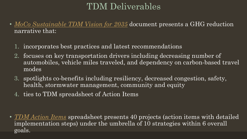## TDM Deliverables

- [MoCo Sustainable TDM Vision for 2035](https://docs.google.com/document/d/1VeQ6DgBSAx4TancMnCFAtp0sLwdO_v90t4YyrQXIfxg/edit?usp=sharing) document presents a GHG reduction narrative that:
	- 1. incorporates best practices and latest recommendations
	- 2. focuses on key transportation drivers including decreasing number of automobiles, vehicle miles traveled, and dependency on carbon-based travel modes
	- 3. spotlights co-benefits including resiliency, decreased congestion, safety, health, stormwater management, community and equity
	- 4. ties to TDM spreadsheet of Action Items

• *[TDM Action Items](https://docs.google.com/spreadsheets/d/1ioRfPIaSe08SvwjnWBUSWJLlpM9nPBnhO6c2CLigCn0/edit?usp=sharing)* spreadsheet presents 40 projects (action items with detailed implementation steps) under the umbrella of 10 strategies within 6 overall goals.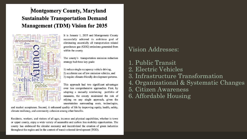#### **Montgomery County, Maryland Sustainable Transportation Demand Management (TDM) Vision for 2035**



It is January 1, 2035 and Montgomery County successfully achieved its ambitious goal of eliminating essentially all transportation related greenhouse gas (GHG) emissions generated from within the county.

The county's transportation emission reduction strategy had three key goals:

1) reduce single occupancy vehicle driving, 2) accelerate use of low emission vehicles, and 3) require climate-friendly development patterns.

This approach had two significant advantages over less comprehensive approaches. First, by adopting a mutually reinforcing portfolio of measures, the county minimized the risk of relying on any single approach, given the uncertainties surrounding costs, technologies,

and market acceptance. Second, it enhanced quality of life by improving equity, health, safety, climate resiliency, and community cohesion among other benefits.

Residents, workers, and visitors of all ages, incomes and physical capabilities, whether in town or upper county, enjoy a wide variety of accessible and carbon free mobility opportunities. The county has embraced the circular economy and incentivized the creation of green industries throughout the region and in the context of transit oriented development (TOD).

#### **Vision Addresses:**

1. Public Transit 2. Electric Vehicles 3. Infrastructure Transformation 4. Organizational & Systematic Changes 5. Citizen Awareness 6. Affordable Housing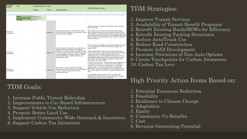| <b>Key Driver</b><br><b>Fulfilled</b> | Goal                                                          | <b>Potential Strategies &amp; Actions</b>    |                 |                               |                                                                                                                                                                                                                                                                                                                           | <b>Why/Goal/Purpose of Action</b>                                                                                                                                                                                                                                                                                                                                                                                                                                                                                                                                                                                    |
|---------------------------------------|---------------------------------------------------------------|----------------------------------------------|-----------------|-------------------------------|---------------------------------------------------------------------------------------------------------------------------------------------------------------------------------------------------------------------------------------------------------------------------------------------------------------------------|----------------------------------------------------------------------------------------------------------------------------------------------------------------------------------------------------------------------------------------------------------------------------------------------------------------------------------------------------------------------------------------------------------------------------------------------------------------------------------------------------------------------------------------------------------------------------------------------------------------------|
|                                       |                                                               | <b>Strategy</b>                              | <b>Action #</b> | <b>Action Description</b>     |                                                                                                                                                                                                                                                                                                                           |                                                                                                                                                                                                                                                                                                                                                                                                                                                                                                                                                                                                                      |
|                                       |                                                               |                                              |                 |                               |                                                                                                                                                                                                                                                                                                                           |                                                                                                                                                                                                                                                                                                                                                                                                                                                                                                                                                                                                                      |
|                                       |                                                               |                                              |                 |                               |                                                                                                                                                                                                                                                                                                                           |                                                                                                                                                                                                                                                                                                                                                                                                                                                                                                                                                                                                                      |
|                                       | Goal 1:<br><b>Increase Public Transit</b><br><b>Ridership</b> | Strategy 1.1:<br>Improve transit<br>services |                 |                               |                                                                                                                                                                                                                                                                                                                           |                                                                                                                                                                                                                                                                                                                                                                                                                                                                                                                                                                                                                      |
| Decrease in<br>Automobiles            |                                                               |                                              | Action 1.1.1    |                               | Increase Bus Frequency to 5 Min Between 5:00 am -<br>9:00 pm Monday to Saturday, with intervals of 15 min<br>at other times and on Sundays                                                                                                                                                                                | Increased frequency of service can attract more riders to existing<br>transit route miles.<br>More frequent service reduces the average time that passengers<br>spend waiting at stations and bus stops, thereby reducing the total<br>time needed for travel, reducing the time that passengers may have to<br>spend in inclement weather conditions, and reducing the need to plan<br>around infrequent service schedules. Source: National Academy of<br>Sciences, Ibid, p. 20.                                                                                                                                   |
| Decrease in<br><b>Automobiles</b>     |                                                               |                                              | Action 1.1.2    | <b>Available Near Transit</b> | Provide More Ride-On Bus Routes and Other Transit<br>Options at Strategic Congestion Nodes, Highway<br>Junctions, etc. so 75% of residents in MoCo are within<br>1/2 mile of a public transit stop. Expand On-Demand<br>Transit Throughout the Day and County so that More<br>Mixed Used Housing / Commercial Options Are | Provide accessible and reliable transit options throughout the County<br>to reduce dependency of SOV, decrease traffic congestion and<br>mitigate GHGs.<br>Build upon the Ride-On system to expand level and frequency of<br>service, where needed. Ensure major all neighboods and residential<br>complexes are serviced with connections to metro, major<br>employment centers, schools and public institutions to to connect<br>most populated neighborhoods, mixed-used developments to key<br>employment, market and institutuional anchors as well as other<br>transit modes, eg: metro, MARC.                 |
| Decrease in<br><b>Automobiles</b>     |                                                               |                                              | Action 1.1.3    | <b>Employment Centers</b>     | Increase Free or Low-Cost (Electric) Circulator<br>Minivan Routes That Connect Schools with Recreation<br>/ Senior / Aquatic Centers or Other Activity /                                                                                                                                                                  | A system's level of service - factors related to route frequency, route<br>coverage, and route speed - are found to positively correlate to<br>ridership. However, researchers find that there is a diminishing<br>marginal return on service level improvements, meaning that<br>improving service on a low-frequency or low-coverage route will<br>have a greater impact than changes to an already high performing<br>route.<br>By establishing circulator minivans on low-coverage routes<br>throughout the county which also connect with MoCo recreation,<br>senior or aquatic centers, car use will decrease. |

#### TDM Goals:

- 1. Increase Public Transit Ridership
- 2. Improvements to Car-Based Infrastructure
- 3. Support Vehicle Use Reduction
- 4. Promote Better Land Use
- 5. Implement Community-Wide Outreach & Incentives
- 6. Support Carbon Tax Initiatives

#### TDM Strategies:

#### 1. Improve Transit Services

- 2. Availability of Transit Benefit Programs
- 3. Retrofit Existing Roads/ROWs for Efficiency
- 4. Retrofit Existing Parking Structures
- 5. Reduce Auto/Truck Use
- 6. Reduce Road Construction
- 7. Promote Infill Development
- 8. Increase Provisions of Non-Auto Options
- 9. Create Touchpoints for Carbon Awareness

10. Carbon Tax Levy

### High Priority Action Items Based on:

- 1. Potential Emissions Reduction
- 2. Feasibility
- 3. Resilience to Climate Change
- 4. Adaptation
- 5. Equity
- 6. Community Co-Benefits
- 7. Cost
- 8. Revenue Generating Potential